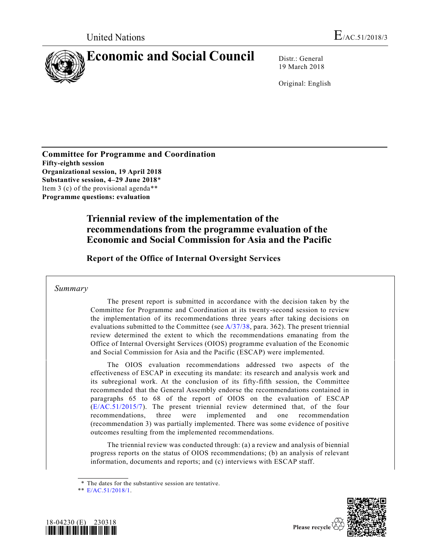

19 March 2018

Original: English

**Committee for Programme and Coordination Fifty-eighth session Organizational session, 19 April 2018 Substantive session, 4–29 June 2018**\* Item 3 (c) of the provisional agenda\*\* **Programme questions: evaluation**

# **Triennial review of the implementation of the recommendations from the programme evaluation of the Economic and Social Commission for Asia and the Pacific**

**Report of the Office of Internal Oversight Services**

### *Summary*

The present report is submitted in accordance with the decision taken by the Committee for Programme and Coordination at its twenty-second session to review the implementation of its recommendations three years after taking decisions on evaluations submitted to the Committee (see  $A/37/38$ , para. 362). The present triennial review determined the extent to which the recommendations emanating from the Office of Internal Oversight Services (OIOS) programme evaluation of the Economic and Social Commission for Asia and the Pacific (ESCAP) were implemented.

The OIOS evaluation recommendations addressed two aspects of the effectiveness of ESCAP in executing its mandate: its research and analysis work and its subregional work. At the conclusion of its fifty-fifth session, the Committee recommended that the General Assembly endorse the recommendations contained in paragraphs 65 to 68 of the report of OIOS on the evaluation of ESCAP [\(E/AC.51/2015/7\)](https://undocs.org/E/AC.51/2015/7). The present triennial review determined that, of the four recommendations, three were implemented and one recommendation (recommendation 3) was partially implemented. There was some evidence of positive outcomes resulting from the implemented recommendations.

The triennial review was conducted through: (a) a review and analysis of biennial progress reports on the status of OIOS recommendations; (b) an analysis of relevant information, documents and reports; and (c) interviews with ESCAP staff.

<sup>\*\*</sup> [E/AC.51/2018/1.](https://undocs.org/E/AC.51/2018/1)





Please recycle  $\langle$ 

<sup>\*</sup> The dates for the substantive session are tentative.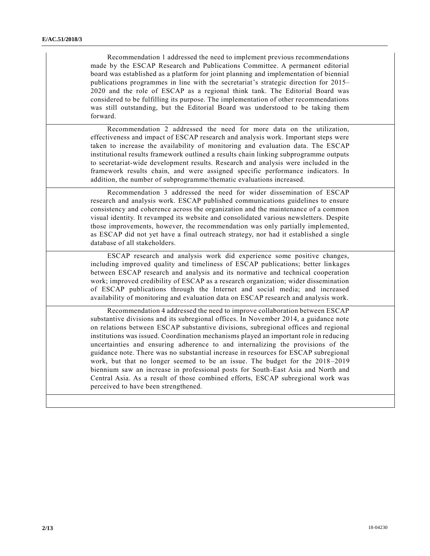Recommendation 1 addressed the need to implement previous recommendations made by the ESCAP Research and Publications Committee. A permanent editorial board was established as a platform for joint planning and implementation of biennial publications programmes in line with the secretariat's strategic direction for 2015– 2020 and the role of ESCAP as a regional think tank. The Editorial Board was considered to be fulfilling its purpose. The implementation of other recommendations was still outstanding, but the Editorial Board was understood to be taking them forward.

Recommendation 2 addressed the need for more data on the utilization, effectiveness and impact of ESCAP research and analysis work. Important steps were taken to increase the availability of monitoring and evaluation data. The ESCAP institutional results framework outlined a results chain linking subprogramme outputs to secretariat-wide development results. Research and analysis were included in the framework results chain, and were assigned specific performance indicators. In addition, the number of subprogramme/thematic evaluations increased.

Recommendation 3 addressed the need for wider dissemination of ESCAP research and analysis work. ESCAP published communications guidelines to ensure consistency and coherence across the organization and the maintenance of a common visual identity. It revamped its website and consolidated various newsletters. Despite those improvements, however, the recommendation was only partially implemented, as ESCAP did not yet have a final outreach strategy, nor had it established a single database of all stakeholders.

ESCAP research and analysis work did experience some positive changes, including improved quality and timeliness of ESCAP publications; better linkages between ESCAP research and analysis and its normative and technical cooperation work; improved credibility of ESCAP as a research organization; wider dissemination of ESCAP publications through the Internet and social media; and increased availability of monitoring and evaluation data on ESCAP research and analysis work.

Recommendation 4 addressed the need to improve collaboration between ESCAP substantive divisions and its subregional offices. In November 2014, a guidance note on relations between ESCAP substantive divisions, subregional offices and regional institutions was issued. Coordination mechanisms played an important role in reducing uncertainties and ensuring adherence to and internalizing the provisions of the guidance note. There was no substantial increase in resources for ESCAP subregional work, but that no longer seemed to be an issue. The budget for the 2018 –2019 biennium saw an increase in professional posts for South-East Asia and North and Central Asia. As a result of those combined efforts, ESCAP subregional work was perceived to have been strengthened.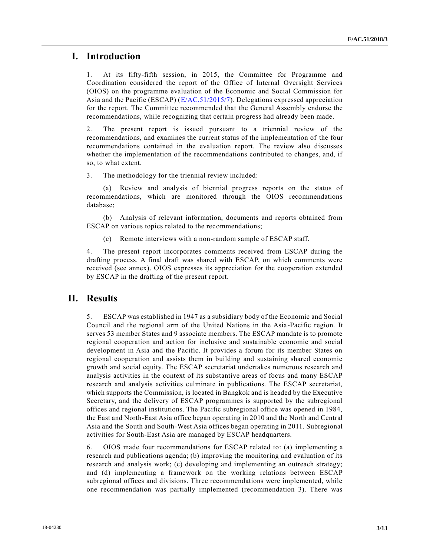## **I. Introduction**

1. At its fifty-fifth session, in 2015, the Committee for Programme and Coordination considered the report of the Office of Internal Oversight Services (OIOS) on the programme evaluation of the Economic and Social Commission for Asia and the Pacific (ESCAP) [\(E/AC.51/2015/7\)](https://undocs.org/E/AC.51/2015/7). Delegations expressed appreciation for the report. The Committee recommended that the General Assembly endorse the recommendations, while recognizing that certain progress had already been made.

2. The present report is issued pursuant to a triennial review of the recommendations, and examines the current status of the implementation of the four recommendations contained in the evaluation report. The review also discusses whether the implementation of the recommendations contributed to changes, and, if so, to what extent.

3. The methodology for the triennial review included:

(a) Review and analysis of biennial progress reports on the status of recommendations, which are monitored through the OIOS recommendations database;

(b) Analysis of relevant information, documents and reports obtained from ESCAP on various topics related to the recommendations;

(c) Remote interviews with a non-random sample of ESCAP staff.

4. The present report incorporates comments received from ESCAP during the drafting process. A final draft was shared with ESCAP, on which comments were received (see annex). OIOS expresses its appreciation for the cooperation extended by ESCAP in the drafting of the present report.

## **II. Results**

5. ESCAP was established in 1947 as a subsidiary body of the Economic and Social Council and the regional arm of the United Nations in the Asia-Pacific region. It serves 53 member States and 9 associate members. The ESCAP mandate is to promote regional cooperation and action for inclusive and sustainable economic and social development in Asia and the Pacific. It provides a forum for its member States on regional cooperation and assists them in building and sustaining shared economic growth and social equity. The ESCAP secretariat undertakes numerous research and analysis activities in the context of its substantive areas of focus and many ESCAP research and analysis activities culminate in publications. The ESCAP secretariat, which supports the Commission, is located in Bangkok and is headed by the Executive Secretary, and the delivery of ESCAP programmes is supported by the subregional offices and regional institutions. The Pacific subregional office was opened in 1984, the East and North-East Asia office began operating in 2010 and the North and Central Asia and the South and South-West Asia offices began operating in 2011. Subregional activities for South-East Asia are managed by ESCAP headquarters.

6. OIOS made four recommendations for ESCAP related to: (a) implementing a research and publications agenda; (b) improving the monitoring and evaluation of its research and analysis work; (c) developing and implementing an outreach strategy; and (d) implementing a framework on the working relations between ESCAP subregional offices and divisions. Three recommendations were implemented, while one recommendation was partially implemented (recommendation 3). There was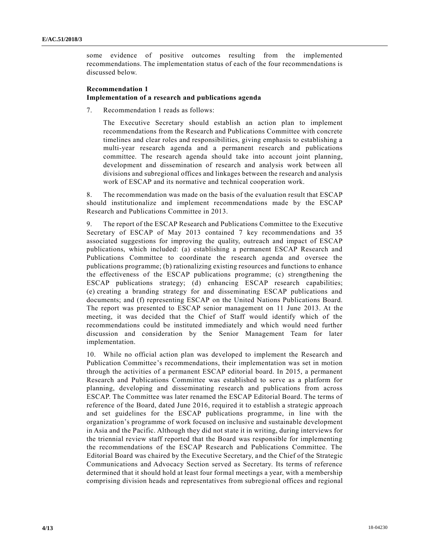some evidence of positive outcomes resulting from the implemented recommendations. The implementation status of each of the four recommendations is discussed below.

### **Recommendation 1 Implementation of a research and publications agenda**

7. Recommendation 1 reads as follows:

The Executive Secretary should establish an action plan to implement recommendations from the Research and Publications Committee with concrete timelines and clear roles and responsibilities, giving emphasis to establishing a multi-year research agenda and a permanent research and publications committee. The research agenda should take into account joint planning, development and dissemination of research and analysis work between all divisions and subregional offices and linkages between the research and analysis work of ESCAP and its normative and technical cooperation work.

8. The recommendation was made on the basis of the evaluation result that ESCAP should institutionalize and implement recommendations made by the ESCAP Research and Publications Committee in 2013.

9. The report of the ESCAP Research and Publications Committee to the Executive Secretary of ESCAP of May 2013 contained 7 key recommendations and 35 associated suggestions for improving the quality, outreach and impact of ESCAP publications, which included: (a) establishing a permanent ESCAP Research and Publications Committee to coordinate the research agenda and oversee the publications programme; (b) rationalizing existing resources and functions to enhance the effectiveness of the ESCAP publications programme; (c) strengthening the ESCAP publications strategy; (d) enhancing ESCAP research capabilities; (e) creating a branding strategy for and disseminating ESCAP publications and documents; and (f) representing ESCAP on the United Nations Publications Board. The report was presented to ESCAP senior management on 11 June 2013. At the meeting, it was decided that the Chief of Staff would identify which of the recommendations could be instituted immediately and which would need further discussion and consideration by the Senior Management Team for later implementation.

10. While no official action plan was developed to implement the Research and Publication Committee's recommendations, their implementation was set in motion through the activities of a permanent ESCAP editorial board. In 2015, a permanent Research and Publications Committee was established to serve as a platform for planning, developing and disseminating research and publications from across ESCAP. The Committee was later renamed the ESCAP Editorial Board. The terms of reference of the Board, dated June 2016, required it to establish a strategic approach and set guidelines for the ESCAP publications programme, in line with the organization's programme of work focused on inclusive and sustainable development in Asia and the Pacific. Although they did not state it in writing, during interviews for the triennial review staff reported that the Board was responsible for implementing the recommendations of the ESCAP Research and Publications Committee. The Editorial Board was chaired by the Executive Secretary, and the Chief of the Strategic Communications and Advocacy Section served as Secretary. Its terms of reference determined that it should hold at least four formal meetings a year, with a membership comprising division heads and representatives from subregional offices and regional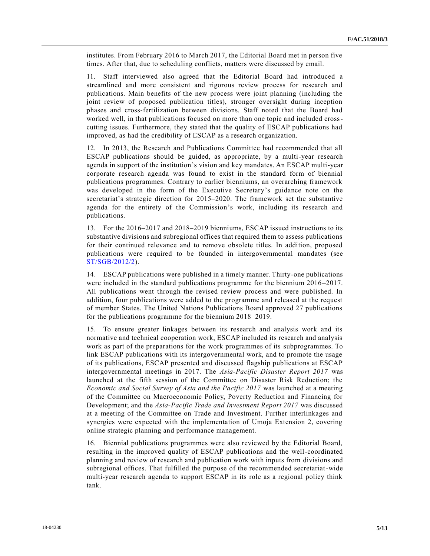institutes. From February 2016 to March 2017, the Editorial Board met in person five times. After that, due to scheduling conflicts, matters were discussed by email.

11. Staff interviewed also agreed that the Editorial Board had introduced a streamlined and more consistent and rigorous review process for research and publications. Main benefits of the new process were joint planning (including the joint review of proposed publication titles), stronger oversight during inception phases and cross-fertilization between divisions. Staff noted that the Board had worked well, in that publications focused on more than one topic and included crosscutting issues. Furthermore, they stated that the quality of ESCAP publications had improved, as had the credibility of ESCAP as a research organization.

12. In 2013, the Research and Publications Committee had recommended that all ESCAP publications should be guided, as appropriate, by a multi-year research agenda in support of the institution's vision and key mandates. An ESCAP multi-year corporate research agenda was found to exist in the standard form of biennial publications programmes. Contrary to earlier bienniums, an overarching framework was developed in the form of the Executive Secretary's guidance note on the secretariat's strategic direction for 2015–2020. The framework set the substantive agenda for the entirety of the Commission's work, including its research and publications.

13. For the 2016–2017 and 2018–2019 bienniums, ESCAP issued instructions to its substantive divisions and subregional offices that required them to assess publications for their continued relevance and to remove obsolete titles. In addition, proposed publications were required to be founded in intergovernmental mandates (see [ST/SGB/2012/2\)](https://undocs.org/ST/SGB/2012/2).

14. ESCAP publications were published in a timely manner. Thirty-one publications were included in the standard publications programme for the biennium 2016–2017. All publications went through the revised review process and were published. In addition, four publications were added to the programme and released at the request of member States. The United Nations Publications Board approved 27 publications for the publications programme for the biennium 2018–2019.

15. To ensure greater linkages between its research and analysis work and its normative and technical cooperation work, ESCAP included its research and analysis work as part of the preparations for the work programmes of its subprogrammes. To link ESCAP publications with its intergovernmental work, and to promote the usage of its publications, ESCAP presented and discussed flagship publications at ESCAP intergovernmental meetings in 2017. The *Asia-Pacific Disaster Report 2017* was launched at the fifth session of the Committee on Disaster Risk Reduction; the *Economic and Social Survey of Asia and the Pacific 2017* was launched at a meeting of the Committee on Macroeconomic Policy, Poverty Reduction and Financing for Development; and the *Asia-Pacific Trade and Investment Report 2017* was discussed at a meeting of the Committee on Trade and Investment. Further interlinkages and synergies were expected with the implementation of Umoja Extension 2, covering online strategic planning and performance management.

16. Biennial publications programmes were also reviewed by the Editorial Board, resulting in the improved quality of ESCAP publications and the well-coordinated planning and review of research and publication work with inputs from divisions and subregional offices. That fulfilled the purpose of the recommended secretariat-wide multi-year research agenda to support ESCAP in its role as a regional policy think tank.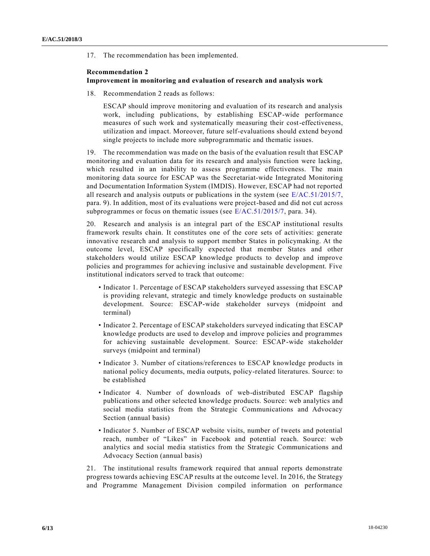17. The recommendation has been implemented.

### **Recommendation 2 Improvement in monitoring and evaluation of research and analysis work**

18. Recommendation 2 reads as follows:

ESCAP should improve monitoring and evaluation of its research and analysis work, including publications, by establishing ESCAP-wide performance measures of such work and systematically measuring their cost-effectiveness, utilization and impact. Moreover, future self-evaluations should extend beyond single projects to include more subprogrammatic and thematic issues.

19. The recommendation was made on the basis of the evaluation result that ESCAP monitoring and evaluation data for its research and analysis function were lacking, which resulted in an inability to assess programme effectiveness. The main monitoring data source for ESCAP was the Secretariat-wide Integrated Monitoring and Documentation Information System (IMDIS). However, ESCAP had not reported all research and analysis outputs or publications in the system (see  $E/AC.51/2015/7$ , para. 9). In addition, most of its evaluations were project-based and did not cut across subprogrammes or focus on thematic issues (see [E/AC.51/2015/7,](https://undocs.org/E/AC.51/2015/7) para. 34).

20. Research and analysis is an integral part of the ESCAP institutional results framework results chain. It constitutes one of the core sets of activities: generate innovative research and analysis to support member States in policymaking. At the outcome level, ESCAP specifically expected that member States and other stakeholders would utilize ESCAP knowledge products to develop and improve policies and programmes for achieving inclusive and sustainable development. Five institutional indicators served to track that outcome:

- Indicator 1. Percentage of ESCAP stakeholders surveyed assessing that ESCAP is providing relevant, strategic and timely knowledge products on sustainable development. Source: ESCAP-wide stakeholder surveys (midpoint and terminal)
- Indicator 2. Percentage of ESCAP stakeholders surveyed indicating that ESCAP knowledge products are used to develop and improve policies and programmes for achieving sustainable development. Source: ESCAP-wide stakeholder surveys (midpoint and terminal)
- Indicator 3. Number of citations/references to ESCAP knowledge products in national policy documents, media outputs, policy-related literatures. Source: to be established
- Indicator 4. Number of downloads of web-distributed ESCAP flagship publications and other selected knowledge products. Source: web analytics and social media statistics from the Strategic Communications and Advocacy Section (annual basis)
- Indicator 5. Number of ESCAP website visits, number of tweets and potential reach, number of "Likes" in Facebook and potential reach. Source: web analytics and social media statistics from the Strategic Communications and Advocacy Section (annual basis)

21. The institutional results framework required that annual reports demonstrate progress towards achieving ESCAP results at the outcome level. In 2016, the Strategy and Programme Management Division compiled information on performance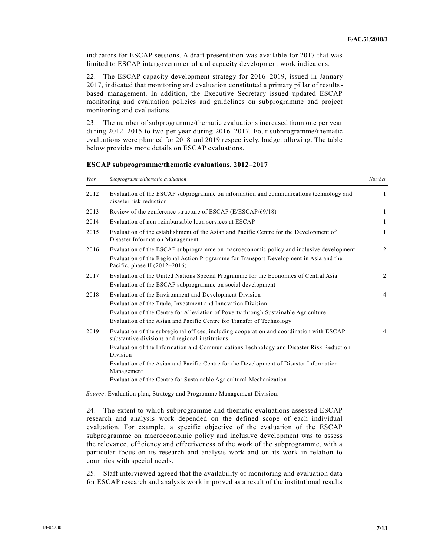indicators for ESCAP sessions. A draft presentation was available for 2017 that was limited to ESCAP intergovernmental and capacity development work indicators.

22. The ESCAP capacity development strategy for 2016–2019, issued in January 2017, indicated that monitoring and evaluation constituted a primary pillar of resultsbased management. In addition, the Executive Secretary issued updated ESCAP monitoring and evaluation policies and guidelines on subprogramme and project monitoring and evaluations.

23. The number of subprogramme/thematic evaluations increased from one per year during 2012–2015 to two per year during 2016–2017. Four subprogramme/thematic evaluations were planned for 2018 and 2019 respectively, budget allowing. The table below provides more details on ESCAP evaluations.

| Year | Subprogramme/thematic evaluation                                                                                                                   | Number         |
|------|----------------------------------------------------------------------------------------------------------------------------------------------------|----------------|
| 2012 | Evaluation of the ESCAP subprogramme on information and communications technology and<br>disaster risk reduction                                   | 1              |
| 2013 | Review of the conference structure of ESCAP (E/ESCAP/69/18)                                                                                        | 1              |
| 2014 | Evaluation of non-reimbursable loan services at ESCAP                                                                                              | $\mathbf{1}$   |
| 2015 | Evaluation of the establishment of the Asian and Pacific Centre for the Development of<br>Disaster Information Management                          | 1              |
| 2016 | Evaluation of the ESCAP subprogramme on macroeconomic policy and inclusive development                                                             | 2              |
|      | Evaluation of the Regional Action Programme for Transport Development in Asia and the<br>Pacific, phase II $(2012-2016)$                           |                |
| 2017 | Evaluation of the United Nations Special Programme for the Economies of Central Asia<br>Evaluation of the ESCAP subprogramme on social development | $\overline{2}$ |
| 2018 | Evaluation of the Environment and Development Division                                                                                             | 4              |
|      | Evaluation of the Trade, Investment and Innovation Division                                                                                        |                |
|      | Evaluation of the Centre for Alleviation of Poverty through Sustainable Agriculture                                                                |                |
|      | Evaluation of the Asian and Pacific Centre for Transfer of Technology                                                                              |                |
| 2019 | Evaluation of the subregional offices, including cooperation and coordination with ESCAP<br>substantive divisions and regional institutions        | 4              |
|      | Evaluation of the Information and Communications Technology and Disaster Risk Reduction<br>Division                                                |                |
|      | Evaluation of the Asian and Pacific Centre for the Development of Disaster Information<br>Management                                               |                |
|      | Evaluation of the Centre for Sustainable Agricultural Mechanization                                                                                |                |

**ESCAP subprogramme/thematic evaluations, 2012–2017**

*Source*: Evaluation plan, Strategy and Programme Management Division.

24. The extent to which subprogramme and thematic evaluations assessed ESCAP research and analysis work depended on the defined scope of each individual evaluation. For example, a specific objective of the evaluation of the ESCAP subprogramme on macroeconomic policy and inclusive development was to assess the relevance, efficiency and effectiveness of the work of the subprogramme, with a particular focus on its research and analysis work and on its work in relation to countries with special needs.

25. Staff interviewed agreed that the availability of monitoring and evaluation data for ESCAP research and analysis work improved as a result of the institutional results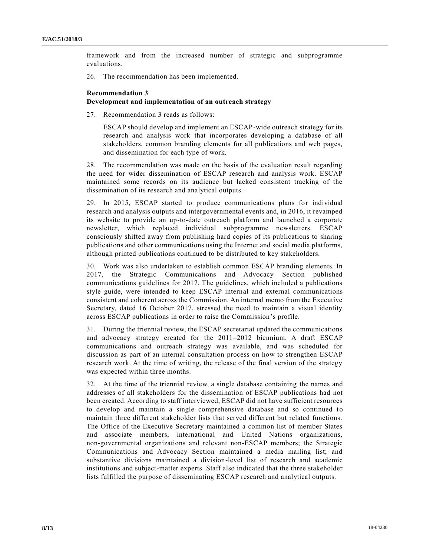framework and from the increased number of strategic and subprogramme evaluations.

26. The recommendation has been implemented.

### **Recommendation 3**

#### **Development and implementation of an outreach strategy**

27. Recommendation 3 reads as follows:

ESCAP should develop and implement an ESCAP-wide outreach strategy for its research and analysis work that incorporates developing a database of all stakeholders, common branding elements for all publications and web pages, and dissemination for each type of work.

28. The recommendation was made on the basis of the evaluation result regarding the need for wider dissemination of ESCAP research and analysis work. ESCAP maintained some records on its audience but lacked consistent tracking of the dissemination of its research and analytical outputs.

29. In 2015, ESCAP started to produce communications plans for individual research and analysis outputs and intergovernmental events and, in 2016, it revamped its website to provide an up-to-date outreach platform and launched a corporate newsletter, which replaced individual subprogramme newsletters. ESCAP consciously shifted away from publishing hard copies of its publications to sharing publications and other communications using the Internet and social media platforms, although printed publications continued to be distributed to key stakeholders.

30. Work was also undertaken to establish common ESCAP branding elements. In 2017, the Strategic Communications and Advocacy Section published communications guidelines for 2017. The guidelines, which included a publications style guide, were intended to keep ESCAP internal and external communications consistent and coherent across the Commission. An internal memo from the Executive Secretary, dated 16 October 2017, stressed the need to maintain a visual identity across ESCAP publications in order to raise the Commission's profile.

31. During the triennial review, the ESCAP secretariat updated the communications and advocacy strategy created for the 2011–2012 biennium. A draft ESCAP communications and outreach strategy was available, and was scheduled for discussion as part of an internal consultation process on how to strengthen ESCAP research work. At the time of writing, the release of the final version of the strategy was expected within three months.

32. At the time of the triennial review, a single database containing the names and addresses of all stakeholders for the dissemination of ESCAP publications had not been created. According to staff interviewed, ESCAP did not have sufficient resources to develop and maintain a single comprehensive database and so continued to maintain three different stakeholder lists that served different but related functions. The Office of the Executive Secretary maintained a common list of member States and associate members, international and United Nations organizations, non-governmental organizations and relevant non-ESCAP members; the Strategic Communications and Advocacy Section maintained a media mailing list; and substantive divisions maintained a division-level list of research and academic institutions and subject-matter experts. Staff also indicated that the three stakeholder lists fulfilled the purpose of disseminating ESCAP research and analytical outputs.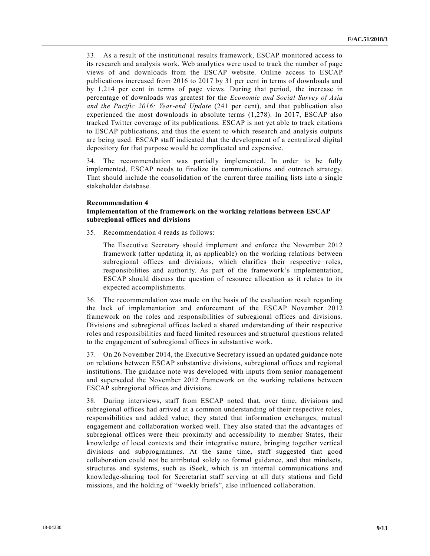33. As a result of the institutional results framework, ESCAP monitored access to its research and analysis work. Web analytics were used to track the number of page views of and downloads from the ESCAP website. Online access to ESCAP publications increased from 2016 to 2017 by 31 per cent in terms of downloads and by 1,214 per cent in terms of page views. During that period, the increase in percentage of downloads was greatest for the *Economic and Social Survey of Asia and the Pacific 2016: Year-end Update* (241 per cent), and that publication also experienced the most downloads in absolute terms (1,278). In 2017, ESCAP also tracked Twitter coverage of its publications. ESCAP is not yet able to track citations to ESCAP publications, and thus the extent to which research and analysis outputs are being used. ESCAP staff indicated that the development of a centralized digital depository for that purpose would be complicated and expensive.

34. The recommendation was partially implemented. In order to be fully implemented, ESCAP needs to finalize its communications and outreach strategy. That should include the consolidation of the current three mailing lists into a single stakeholder database.

#### **Recommendation 4**

### **Implementation of the framework on the working relations between ESCAP subregional offices and divisions**

35. Recommendation 4 reads as follows:

The Executive Secretary should implement and enforce the November 2012 framework (after updating it, as applicable) on the working relations between subregional offices and divisions, which clarifies their respective roles, responsibilities and authority. As part of the framework's implementation, ESCAP should discuss the question of resource allocation as it relates to its expected accomplishments.

36. The recommendation was made on the basis of the evaluation result regarding the lack of implementation and enforcement of the ESCAP November 2012 framework on the roles and responsibilities of subregional offices and divisions. Divisions and subregional offices lacked a shared understanding of their respective roles and responsibilities and faced limited resources and structural questions related to the engagement of subregional offices in substantive work.

37. On 26 November 2014, the Executive Secretary issued an updated guidance note on relations between ESCAP substantive divisions, subregional offices and regional institutions. The guidance note was developed with inputs from senior management and superseded the November 2012 framework on the working relations between ESCAP subregional offices and divisions.

38. During interviews, staff from ESCAP noted that, over time, divisions and subregional offices had arrived at a common understanding of their respective roles, responsibilities and added value; they stated that information exchanges, mutual engagement and collaboration worked well. They also stated that the advantages of subregional offices were their proximity and accessibility to member States, their knowledge of local contexts and their integrative nature, bringing together vertical divisions and subprogrammes. At the same time, staff suggested that good collaboration could not be attributed solely to formal guidance, and that mindsets, structures and systems, such as iSeek, which is an internal communications and knowledge-sharing tool for Secretariat staff serving at all duty stations and field missions, and the holding of "weekly briefs", also influenced collaboration.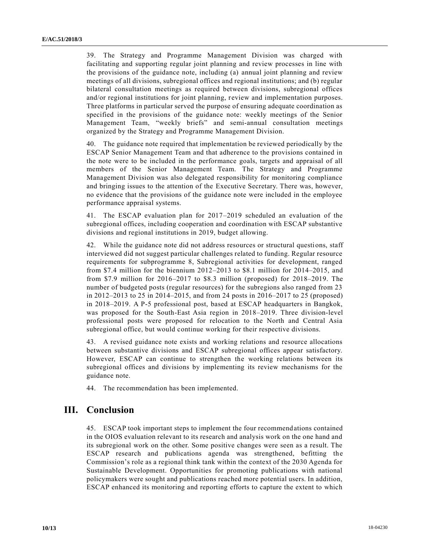39. The Strategy and Programme Management Division was charged with facilitating and supporting regular joint planning and review processes in line with the provisions of the guidance note, including (a) annual joint planning and review meetings of all divisions, subregional offices and regional institutions; and (b) regular bilateral consultation meetings as required between divisions, subregional offices and/or regional institutions for joint planning, review and implementation purposes. Three platforms in particular served the purpose of ensuring adequate coordination as specified in the provisions of the guidance note: weekly meetings of the Senior Management Team, "weekly briefs" and semi-annual consultation meetings organized by the Strategy and Programme Management Division.

40. The guidance note required that implementation be reviewed periodically by the ESCAP Senior Management Team and that adherence to the provisions contained in the note were to be included in the performance goals, targets and appraisal of all members of the Senior Management Team. The Strategy and Programme Management Division was also delegated responsibility for monitoring compliance and bringing issues to the attention of the Executive Secretary. There was, however, no evidence that the provisions of the guidance note were included in the employee performance appraisal systems.

41. The ESCAP evaluation plan for 2017–2019 scheduled an evaluation of the subregional offices, including cooperation and coordination with ESCAP substantive divisions and regional institutions in 2019, budget allowing.

42. While the guidance note did not address resources or structural questions, staff interviewed did not suggest particular challenges related to funding. Regular resource requirements for subprogramme 8, Subregional activities for development, ranged from \$7.4 million for the biennium 2012–2013 to \$8.1 million for 2014–2015, and from \$7.9 million for 2016–2017 to \$8.3 million (proposed) for 2018–2019. The number of budgeted posts (regular resources) for the subregions also ranged from 23 in 2012–2013 to 25 in 2014–2015, and from 24 posts in 2016–2017 to 25 (proposed) in 2018–2019. A P-5 professional post, based at ESCAP headquarters in Bangkok, was proposed for the South-East Asia region in 2018–2019. Three division-level professional posts were proposed for relocation to the North and Central Asia subregional office, but would continue working for their respective divisions.

43. A revised guidance note exists and working relations and resource allocations between substantive divisions and ESCAP subregional offices appear satisfactory. However, ESCAP can continue to strengthen the working relations between its subregional offices and divisions by implementing its review mechanisms for the guidance note.

44. The recommendation has been implemented.

## **III. Conclusion**

45. ESCAP took important steps to implement the four recommendations contained in the OIOS evaluation relevant to its research and analysis work on the one hand and its subregional work on the other. Some positive changes were seen as a result. The ESCAP research and publications agenda was strengthened, befitting the Commission's role as a regional think tank within the context of the 2030 Agenda for Sustainable Development. Opportunities for promoting publications with national policymakers were sought and publications reached more potential users. In addition, ESCAP enhanced its monitoring and reporting efforts to capture the extent to which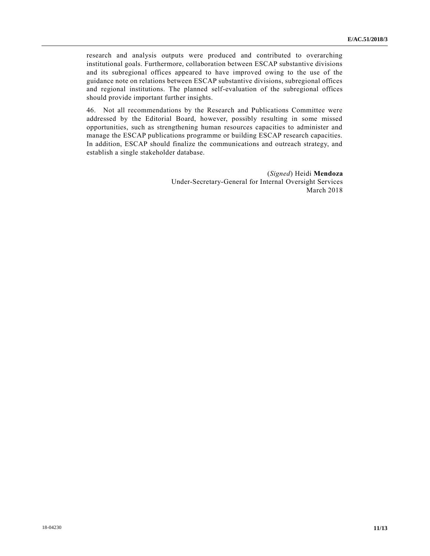research and analysis outputs were produced and contributed to overarching institutional goals. Furthermore, collaboration between ESCAP substantive divisions and its subregional offices appeared to have improved owing to the use of the guidance note on relations between ESCAP substantive divisions, subregional offices and regional institutions. The planned self-evaluation of the subregional offices should provide important further insights.

46. Not all recommendations by the Research and Publications Committee were addressed by the Editorial Board, however, possibly resulting in some missed opportunities, such as strengthening human resources capacities to administer and manage the ESCAP publications programme or building ESCAP research capacities. In addition, ESCAP should finalize the communications and outreach strategy, and establish a single stakeholder database.

> (*Signed*) Heidi **Mendoza** Under-Secretary-General for Internal Oversight Services March 2018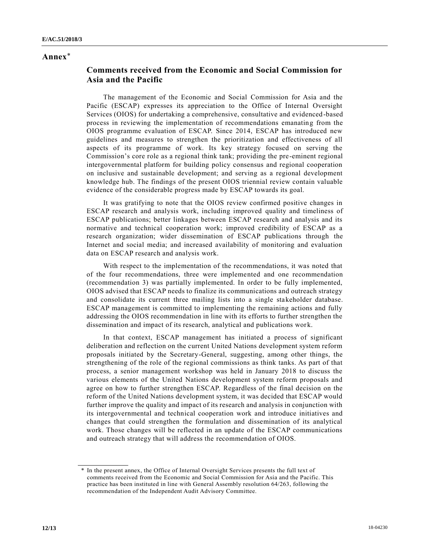## **Annex**\*

## **Comments received from the Economic and Social Commission for Asia and the Pacific**

The management of the Economic and Social Commission for Asia and the Pacific (ESCAP) expresses its appreciation to the Office of Internal Oversight Services (OIOS) for undertaking a comprehensive, consultative and evidenced -based process in reviewing the implementation of recommendations emanating from the OIOS programme evaluation of ESCAP. Since 2014, ESCAP has introduced new guidelines and measures to strengthen the prioritization and effectiveness of all aspects of its programme of work. Its key strategy focused on serving the Commission's core role as a regional think tank; providing the pre-eminent regional intergovernmental platform for building policy consensus and regional cooperation on inclusive and sustainable development; and serving as a regional development knowledge hub. The findings of the present OIOS triennial review contain valuable evidence of the considerable progress made by ESCAP towards its goal.

It was gratifying to note that the OIOS review confirmed positive changes in ESCAP research and analysis work, including improved quality and timeliness of ESCAP publications; better linkages between ESCAP research and analysis and its normative and technical cooperation work; improved credibility of ESCAP as a research organization; wider dissemination of ESCAP publications through the Internet and social media; and increased availability of monitoring and evaluation data on ESCAP research and analysis work.

With respect to the implementation of the recommendations, it was noted that of the four recommendations, three were implemented and one recommendation (recommendation 3) was partially implemented. In order to be fully implemented, OIOS advised that ESCAP needs to finalize its communications and outreach strategy and consolidate its current three mailing lists into a single stakeholder database. ESCAP management is committed to implementing the remaining actions and fully addressing the OIOS recommendation in line with its efforts to further strengthen the dissemination and impact of its research, analytical and publications work.

In that context, ESCAP management has initiated a process of significant deliberation and reflection on the current United Nations development system reform proposals initiated by the Secretary-General, suggesting, among other things, the strengthening of the role of the regional commissions as think tanks. As part of that process, a senior management workshop was held in January 2018 to discuss the various elements of the United Nations development system reform proposals and agree on how to further strengthen ESCAP. Regardless of the final decision on the reform of the United Nations development system, it was decided that ESCAP would further improve the quality and impact of its research and analysis in conjunction with its intergovernmental and technical cooperation work and introduce initiatives and changes that could strengthen the formulation and dissemination of its analytical work. Those changes will be reflected in an update of the ESCAP communications and outreach strategy that will address the recommendation of OIOS.

<sup>\*</sup> In the present annex, the Office of Internal Oversight Services presents the full text of comments received from the Economic and Social Commission for Asia and the Pacific. This practice has been instituted in line with General Assembly resolution 64/263, following the recommendation of the Independent Audit Advisory Committee.